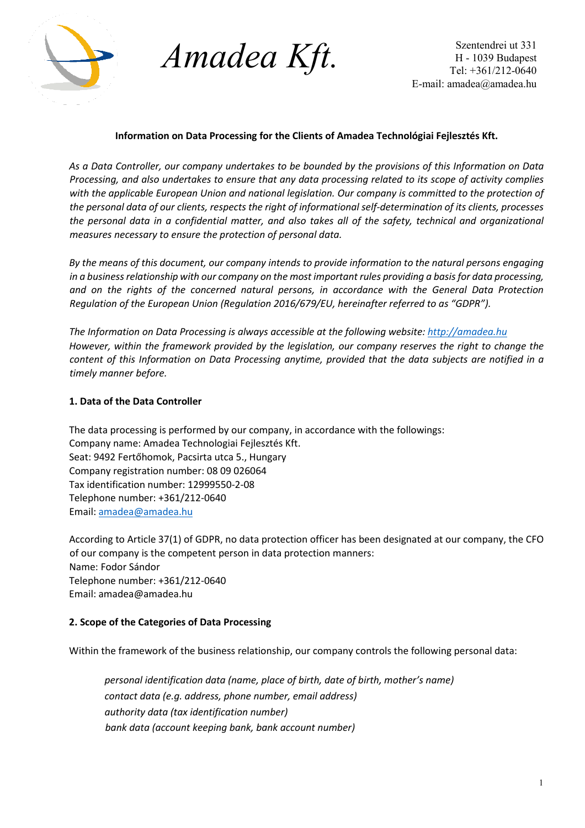

*Amadea Kft.*

Szentendrei ut 331 H - 1039 Budapest Tel: +361/212-0640 E-mail: amadea@amadea.hu

# **Information on Data Processing for the Clients of Amadea Technológiai Fejlesztés Kft.**

*As a Data Controller, our company undertakes to be bounded by the provisions of this Information on Data Processing, and also undertakes to ensure that any data processing related to its scope of activity complies with the applicable European Union and national legislation. Our company is committed to the protection of the personal data of our clients, respects the right of informational self-determination of its clients, processes the personal data in a confidential matter, and also takes all of the safety, technical and organizational measures necessary to ensure the protection of personal data.* 

*By the means of this document, our company intends to provide information to the natural persons engaging in a business relationship with our company on the most important rules providing a basis for data processing, and on the rights of the concerned natural persons, in accordance with the General Data Protection Regulation of the European Union (Regulation 2016/679/EU, hereinafter referred to as "GDPR").* 

*The Information on Data Processing is always accessible at the following website: [http://amadea.hu](http://amadea.hu/) However, within the framework provided by the legislation, our company reserves the right to change the content of this Information on Data Processing anytime, provided that the data subjects are notified in a timely manner before.* 

# **1. Data of the Data Controller**

The data processing is performed by our company, in accordance with the followings: Company name: Amadea Technologiai Fejlesztés Kft. Seat: 9492 Fertőhomok, Pacsirta utca 5., Hungary Company registration number: 08 09 026064 Tax identification number: 12999550-2-08 Telephone number: +361/212-0640 Email: [amadea@amadea.hu](mailto:amadea@amadea.hu)

According to Article 37(1) of GDPR, no data protection officer has been designated at our company, the CFO of our company is the competent person in data protection manners: Name: Fodor Sándor Telephone number: +361/212-0640 Email: amadea@amadea.hu

## **2. Scope of the Categories of Data Processing**

Within the framework of the business relationship, our company controls the following personal data:

*personal identification data (name, place of birth, date of birth, mother's name) contact data (e.g. address, phone number, email address) authority data (tax identification number) bank data (account keeping bank, bank account number)*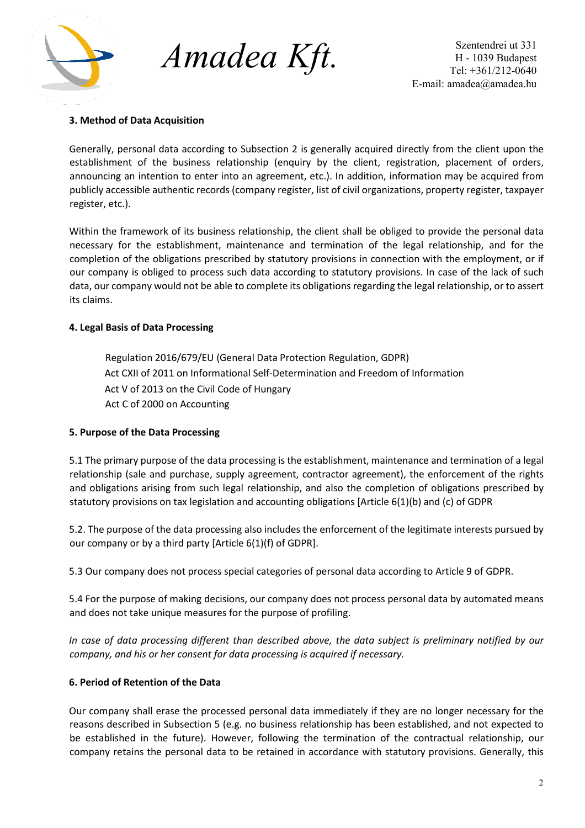

*Amadea Kft.*

Szentendrei ut 331 H - 1039 Budapest Tel: +361/212-0640 E-mail: amadea@amadea.hu

## **3. Method of Data Acquisition**

Generally, personal data according to Subsection 2 is generally acquired directly from the client upon the establishment of the business relationship (enquiry by the client, registration, placement of orders, announcing an intention to enter into an agreement, etc.). In addition, information may be acquired from publicly accessible authentic records (company register, list of civil organizations, property register, taxpayer register, etc.).

Within the framework of its business relationship, the client shall be obliged to provide the personal data necessary for the establishment, maintenance and termination of the legal relationship, and for the completion of the obligations prescribed by statutory provisions in connection with the employment, or if our company is obliged to process such data according to statutory provisions. In case of the lack of such data, our company would not be able to complete its obligations regarding the legal relationship, or to assert its claims.

## **4. Legal Basis of Data Processing**

Regulation 2016/679/EU (General Data Protection Regulation, GDPR) Act CXII of 2011 on Informational Self-Determination and Freedom of Information Act V of 2013 on the Civil Code of Hungary Act C of 2000 on Accounting

## **5. Purpose of the Data Processing**

5.1 The primary purpose of the data processing is the establishment, maintenance and termination of a legal relationship (sale and purchase, supply agreement, contractor agreement), the enforcement of the rights and obligations arising from such legal relationship, and also the completion of obligations prescribed by statutory provisions on tax legislation and accounting obligations [Article 6(1)(b) and (c) of GDPR

5.2. The purpose of the data processing also includes the enforcement of the legitimate interests pursued by our company or by a third party [Article 6(1)(f) of GDPR].

5.3 Our company does not process special categories of personal data according to Article 9 of GDPR.

5.4 For the purpose of making decisions, our company does not process personal data by automated means and does not take unique measures for the purpose of profiling.

*In case of data processing different than described above, the data subject is preliminary notified by our company, and his or her consent for data processing is acquired if necessary.* 

## **6. Period of Retention of the Data**

Our company shall erase the processed personal data immediately if they are no longer necessary for the reasons described in Subsection 5 (e.g. no business relationship has been established, and not expected to be established in the future). However, following the termination of the contractual relationship, our company retains the personal data to be retained in accordance with statutory provisions. Generally, this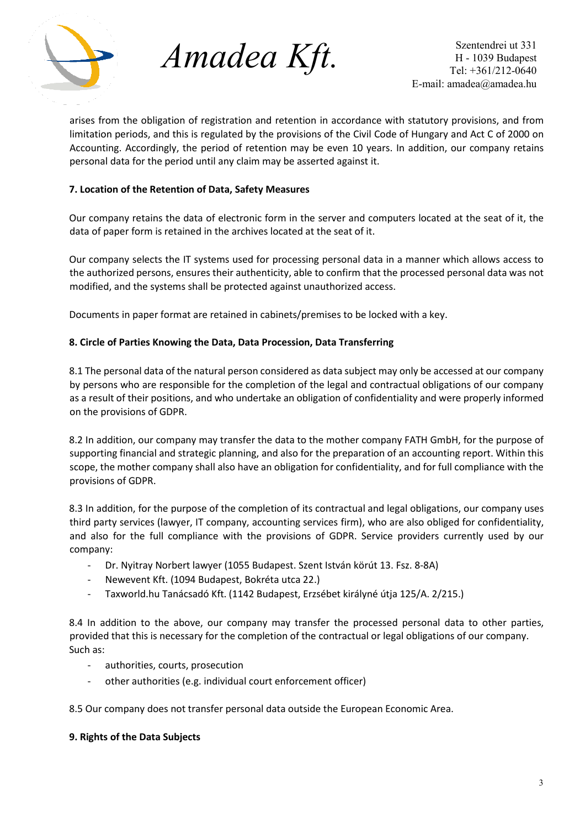

*Amadea Kft.*

Szentendrei ut 331 H - 1039 Budapest Tel: +361/212-0640 E-mail: amadea@amadea.hu

arises from the obligation of registration and retention in accordance with statutory provisions, and from limitation periods, and this is regulated by the provisions of the Civil Code of Hungary and Act C of 2000 on Accounting. Accordingly, the period of retention may be even 10 years. In addition, our company retains personal data for the period until any claim may be asserted against it.

# **7. Location of the Retention of Data, Safety Measures**

Our company retains the data of electronic form in the server and computers located at the seat of it, the data of paper form is retained in the archives located at the seat of it.

Our company selects the IT systems used for processing personal data in a manner which allows access to the authorized persons, ensures their authenticity, able to confirm that the processed personal data was not modified, and the systems shall be protected against unauthorized access.

Documents in paper format are retained in cabinets/premises to be locked with a key.

## **8. Circle of Parties Knowing the Data, Data Procession, Data Transferring**

8.1 The personal data of the natural person considered as data subject may only be accessed at our company by persons who are responsible for the completion of the legal and contractual obligations of our company as a result of their positions, and who undertake an obligation of confidentiality and were properly informed on the provisions of GDPR.

8.2 In addition, our company may transfer the data to the mother company FATH GmbH, for the purpose of supporting financial and strategic planning, and also for the preparation of an accounting report. Within this scope, the mother company shall also have an obligation for confidentiality, and for full compliance with the provisions of GDPR.

8.3 In addition, for the purpose of the completion of its contractual and legal obligations, our company uses third party services (lawyer, IT company, accounting services firm), who are also obliged for confidentiality, and also for the full compliance with the provisions of GDPR. Service providers currently used by our company:

- Dr. Nyitray Norbert lawyer (1055 Budapest. Szent István körút 13. Fsz. 8-8A)
- Newevent Kft. (1094 Budapest, Bokréta utca 22.)
- Taxworld.hu Tanácsadó Kft. (1142 Budapest, Erzsébet királyné útja 125/A. 2/215.)

8.4 In addition to the above, our company may transfer the processed personal data to other parties, provided that this is necessary for the completion of the contractual or legal obligations of our company. Such as:

- authorities, courts, prosecution
- other authorities (e.g. individual court enforcement officer)

8.5 Our company does not transfer personal data outside the European Economic Area.

#### **9. Rights of the Data Subjects**